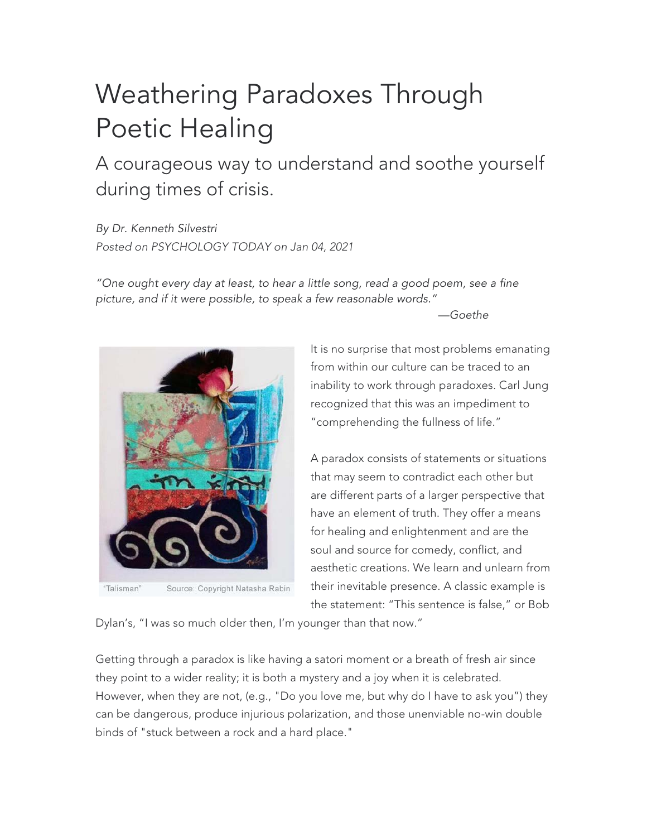## Weathering Paradoxes Through Poetic Healing

A courageous way to understand and soothe yourself during times of crisis.

*By Dr. Kenneth Silvestri Posted on PSYCHOLOGY TODAY on Jan 04, 2021*

*"One ought every day at least, to hear a little song, read a good poem, see a fine picture, and if it were possible, to speak a few reasonable words."*

*—Goethe*



"Talisman" Source: Copyright Natasha Rabin

It is no surprise that most problems emanating from within our culture can be traced to an inability to work through paradoxes. Carl Jung recognized that this was an impediment to "comprehending the fullness of life."

A paradox consists of statements or situations that may seem to contradict each other but are different parts of a larger perspective that have an element of truth. They offer a means for healing and enlightenment and are the soul and source for comedy, conflict, and aesthetic creations. We learn and unlearn from their inevitable presence. A classic example is the statement: "This sentence is false," or Bob

Dylan's, "I was so much older then, I'm younger than that now."

Getting through a paradox is like having a satori moment or a breath of fresh air since they point to a wider reality; it is both a mystery and a joy when it is celebrated. However, when they are not, (e.g., "Do you love me, but why do I have to ask you") they can be dangerous, produce injurious polarization, and those unenviable no-win double binds of "stuck between a rock and a hard place."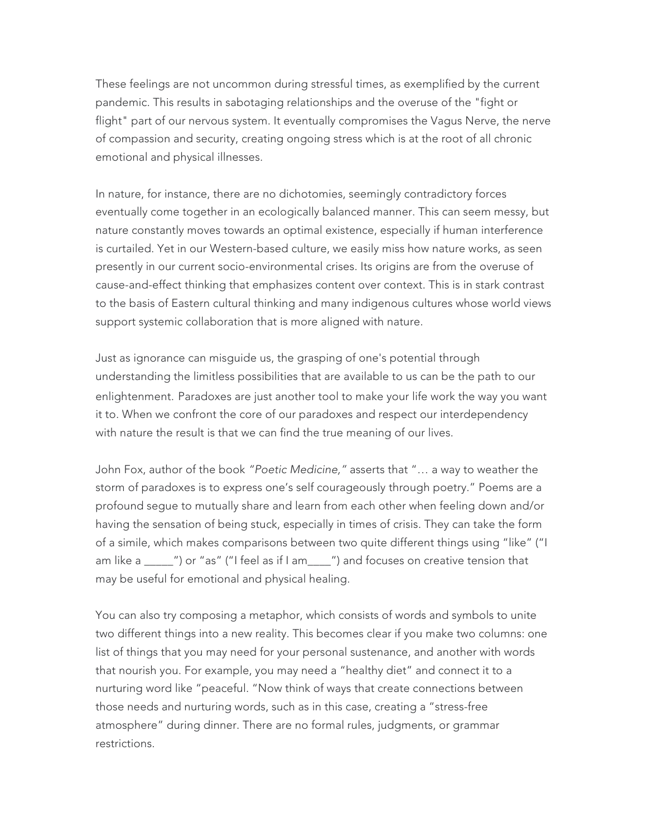These feelings are not uncommon during stressful times, as exemplified by the current pandemic. This results in sabotaging relationships and the overuse of the "fight or flight" part of our nervous system. It eventually compromises the Vagus Nerve, the nerve of compassion and security, creating ongoing stress which is at the root of all chronic emotional and physical illnesses.

In nature, for instance, there are no dichotomies, seemingly contradictory forces eventually come together in an ecologically balanced manner. This can seem messy, but nature constantly moves towards an optimal existence, especially if human interference is curtailed. Yet in our Western-based culture, we easily miss how nature works, as seen presently in our current socio-environmental crises. Its origins are from the overuse of cause-and-effect thinking that emphasizes content over context. This is in stark contrast to the basis of Eastern cultural thinking and many indigenous cultures whose world views support systemic collaboration that is more aligned with nature.

Just as ignorance can misguide us, the grasping of one's potential through understanding the limitless possibilities that are available to us can be the path to our enlightenment. Paradoxes are just another tool to make your life work the way you want it to. When we confront the core of our paradoxes and respect our interdependency with nature the result is that we can find the true meaning of our lives.

John Fox, author of the book *"Poetic Medicine,"* asserts that "… a way to weather the storm of paradoxes is to express one's self courageously through poetry." Poems are a profound segue to mutually share and learn from each other when feeling down and/or having the sensation of being stuck, especially in times of crisis. They can take the form of a simile, which makes comparisons between two quite different things using "like" ("I am like a \_\_\_\_\_") or "as" ("I feel as if I am\_\_\_\_") and focuses on creative tension that may be useful for emotional and physical healing.

You can also try composing a metaphor, which consists of words and symbols to unite two different things into a new reality. This becomes clear if you make two columns: one list of things that you may need for your personal sustenance, and another with words that nourish you. For example, you may need a "healthy diet" and connect it to a nurturing word like "peaceful. "Now think of ways that create connections between those needs and nurturing words, such as in this case, creating a "stress-free atmosphere" during dinner. There are no formal rules, judgments, or grammar restrictions.